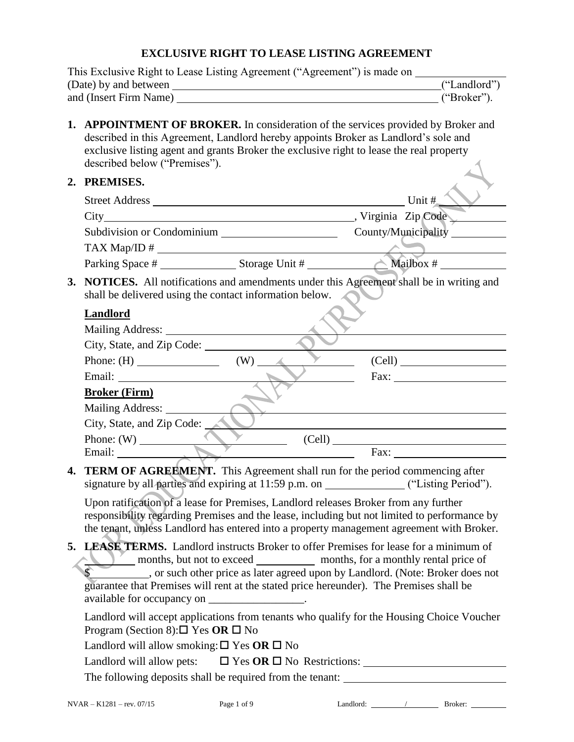# **EXCLUSIVE RIGHT TO LEASE LISTING AGREEMENT**

| This Exclusive Right to Lease Listing Agreement ("Agreement") is made on ______ |                                                                                                                                                                                                                                                                                                                   |                                           |  |  |
|---------------------------------------------------------------------------------|-------------------------------------------------------------------------------------------------------------------------------------------------------------------------------------------------------------------------------------------------------------------------------------------------------------------|-------------------------------------------|--|--|
|                                                                                 | ("Landlord")                                                                                                                                                                                                                                                                                                      |                                           |  |  |
|                                                                                 |                                                                                                                                                                                                                                                                                                                   | ("Broker").                               |  |  |
|                                                                                 | 1. APPOINTMENT OF BROKER. In consideration of the services provided by Broker and<br>described in this Agreement, Landlord hereby appoints Broker as Landlord's sole and<br>exclusive listing agent and grants Broker the exclusive right to lease the real property<br>described below ("Premises").             |                                           |  |  |
|                                                                                 | 2. PREMISES.                                                                                                                                                                                                                                                                                                      |                                           |  |  |
|                                                                                 |                                                                                                                                                                                                                                                                                                                   | Unit #                                    |  |  |
|                                                                                 |                                                                                                                                                                                                                                                                                                                   |                                           |  |  |
|                                                                                 | $\text{TAX Map} / \text{ID} \#$                                                                                                                                                                                                                                                                                   |                                           |  |  |
|                                                                                 |                                                                                                                                                                                                                                                                                                                   |                                           |  |  |
| 3.                                                                              | NOTICES. All notifications and amendments under this Agreement shall be in writing and<br>shall be delivered using the contact information below.                                                                                                                                                                 |                                           |  |  |
|                                                                                 | Landlord                                                                                                                                                                                                                                                                                                          |                                           |  |  |
|                                                                                 |                                                                                                                                                                                                                                                                                                                   |                                           |  |  |
|                                                                                 | City, State, and Zip Code:                                                                                                                                                                                                                                                                                        |                                           |  |  |
|                                                                                 | $(W)$ $\angle$                                                                                                                                                                                                                                                                                                    | (Cell)                                    |  |  |
|                                                                                 |                                                                                                                                                                                                                                                                                                                   | $\text{Fax:}\n \overline{\qquad \qquad }$ |  |  |
|                                                                                 | <b>Broker (Firm)</b>                                                                                                                                                                                                                                                                                              |                                           |  |  |
|                                                                                 | Mailing Address:<br>City, State, and Zip Code:                                                                                                                                                                                                                                                                    |                                           |  |  |
|                                                                                 |                                                                                                                                                                                                                                                                                                                   |                                           |  |  |
|                                                                                 | Phone: (W) (Cell) Fax:                                                                                                                                                                                                                                                                                            |                                           |  |  |
| 4.                                                                              | <b>TERM OF AGREEMENT.</b> This Agreement shall run for the period commencing after<br>signature by all parties and expiring at 11:59 p.m. on ________________("Listing Period").                                                                                                                                  |                                           |  |  |
|                                                                                 | Upon ratification of a lease for Premises, Landlord releases Broker from any further<br>responsibility regarding Premises and the lease, including but not limited to performance by<br>the tenant, unless Landlord has entered into a property management agreement with Broker.                                 |                                           |  |  |
| 5.                                                                              | LEASE TERMS. Landlord instructs Broker to offer Premises for lease for a minimum of<br>. or such other price as later agreed upon by Landlord. (Note: Broker does not<br>guarantee that Premises will rent at the stated price hereunder). The Premises shall be<br>available for occupancy on _________________. |                                           |  |  |
|                                                                                 | Landlord will accept applications from tenants who qualify for the Housing Choice Voucher<br>Program (Section 8): $\square$ Yes OR $\square$ No                                                                                                                                                                   |                                           |  |  |
|                                                                                 | Landlord will allow smoking: $\square$ Yes OR $\square$ No                                                                                                                                                                                                                                                        |                                           |  |  |
|                                                                                 | Landlord will allow pets: $\Box$ Yes OR $\Box$ No Restrictions:                                                                                                                                                                                                                                                   |                                           |  |  |
|                                                                                 | The following deposits shall be required from the tenant: _______________________                                                                                                                                                                                                                                 |                                           |  |  |
|                                                                                 |                                                                                                                                                                                                                                                                                                                   |                                           |  |  |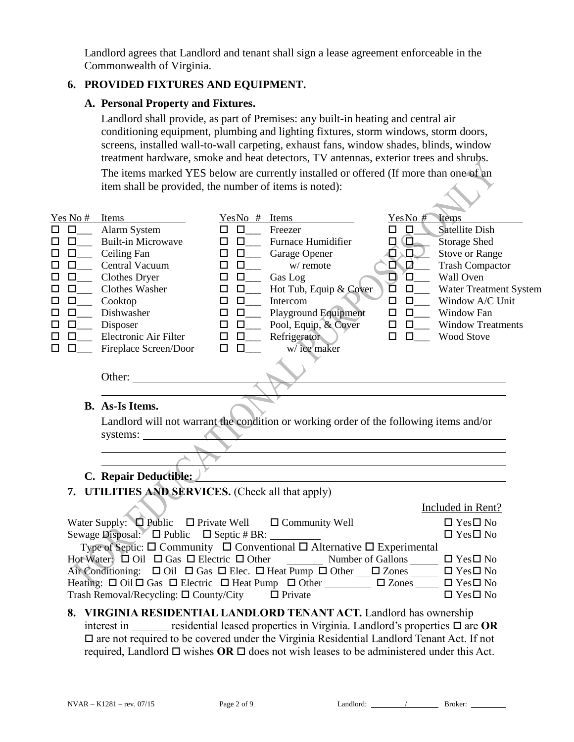Landlord agrees that Landlord and tenant shall sign a lease agreement enforceable in the Commonwealth of Virginia.

### **6. PROVIDED FIXTURES AND EQUIPMENT.**

#### **A. Personal Property and Fixtures.**

Landlord shall provide, as part of Premises: any built-in heating and central air conditioning equipment, plumbing and lighting fixtures, storm windows, storm doors, screens, installed wall-to-wall carpeting, exhaust fans, window shades, blinds, window treatment hardware, smoke and heat detectors, TV antennas, exterior trees and shrubs.

The items marked YES below are currently installed or offered (If more than one of an item shall be provided, the number of items is noted):

| Yes No # Items<br>0<br>п<br>$\Box$<br>□<br>$\Box$<br>0<br>$\Box$<br>$\Box$<br>$\Box$<br>$\Box$                                                                                                                                                                                                                                                                                                                                                                                                                                 | Alarm System<br><b>Built-in Microwave</b><br>$\qquad$ Ceiling Fan<br>Central Vacuum<br>Clothes Dryer<br>Clothes Washer<br>Cooktop<br>Dishwasher<br>Disposer<br>Electronic Air Filter | YesNo # Items<br>Freezer<br>□<br>□<br><b>Furnace Humidifier</b><br>$\Box$<br>$\Box$<br>$\Box$<br>$\Box$<br>Garage Opener<br>w/remote<br>$\Box$<br>$\Box$<br>$\Box$<br>$\Box$<br>Gas Log<br>Hot Tub, Equip & Cover<br>$\Box$<br>□<br>$\Box$<br>Intercom<br>$\Box$<br><b>Playground Equipment</b><br>$\Box$<br>$\Box$<br>Pool, Equip, & Cover<br>$\Box$<br>$\Box$<br>Refrigerator<br>$\Box$ $\Box$ | Items<br>YesNo#<br>$\Box$<br><b>Satellite Dish</b><br>Q<br><b>Storage Shed</b><br>□<br>□∖□∪<br><b>Stove or Range</b><br>0 D<br><b>Trash Compactor</b><br>◻<br>$\square$<br>Wall Oven<br>D<br>$\square_{--}$<br>Water Treatment System<br>$\Box$<br>Window A/C Unit<br>$\Box$<br>$\Box$<br>$\Box$<br>Window Fan<br>$\Box$<br>$\Box$<br><b>Window Treatments</b><br><b>Wood Stove</b><br>$\Box$ |  |
|--------------------------------------------------------------------------------------------------------------------------------------------------------------------------------------------------------------------------------------------------------------------------------------------------------------------------------------------------------------------------------------------------------------------------------------------------------------------------------------------------------------------------------|--------------------------------------------------------------------------------------------------------------------------------------------------------------------------------------|--------------------------------------------------------------------------------------------------------------------------------------------------------------------------------------------------------------------------------------------------------------------------------------------------------------------------------------------------------------------------------------------------|-----------------------------------------------------------------------------------------------------------------------------------------------------------------------------------------------------------------------------------------------------------------------------------------------------------------------------------------------------------------------------------------------|--|
| П<br>п                                                                                                                                                                                                                                                                                                                                                                                                                                                                                                                         | Fireplace Screen/Door<br>Other:<br><b>B.</b> As-Is Items.<br>systems:                                                                                                                | w/ice maker<br>$\Box$<br>$\Box$<br>Landlord will not warrant the condition or working order of the following items and/or                                                                                                                                                                                                                                                                        |                                                                                                                                                                                                                                                                                                                                                                                               |  |
|                                                                                                                                                                                                                                                                                                                                                                                                                                                                                                                                | C. Repair Deductible:                                                                                                                                                                |                                                                                                                                                                                                                                                                                                                                                                                                  |                                                                                                                                                                                                                                                                                                                                                                                               |  |
|                                                                                                                                                                                                                                                                                                                                                                                                                                                                                                                                |                                                                                                                                                                                      | 7. UTILITIES AND SERVICES. (Check all that apply)                                                                                                                                                                                                                                                                                                                                                |                                                                                                                                                                                                                                                                                                                                                                                               |  |
|                                                                                                                                                                                                                                                                                                                                                                                                                                                                                                                                |                                                                                                                                                                                      |                                                                                                                                                                                                                                                                                                                                                                                                  | Included in Rent?                                                                                                                                                                                                                                                                                                                                                                             |  |
| Water Supply: $\Box$ Public $\Box$ Private Well $\Box$ Community Well<br>Sewage Disposal: $\square$ Public $\square$ Septic # BR: ______<br>Type of Septic: $\Box$ Community $\Box$ Conventional $\Box$ Alternative $\Box$ Experimental<br>Hot Water: $\Box$ Oil $\Box$ Gas $\Box$ Electric $\Box$ Other<br>Number of Gallons $\Box$ $\Box$ Yes $\Box$ No<br>Air Conditioning: □ Oil □ Gas □ Elec. □ Heat Pump □ Other __ □ Zones _____ □ Yes□ No<br>Heating: □ Oil □ Gas □ Electric □ Heat Pump □ Other □ □ Zones □ □ Yes□ No |                                                                                                                                                                                      |                                                                                                                                                                                                                                                                                                                                                                                                  | $\Box$ Yes $\Box$ No                                                                                                                                                                                                                                                                                                                                                                          |  |
|                                                                                                                                                                                                                                                                                                                                                                                                                                                                                                                                |                                                                                                                                                                                      |                                                                                                                                                                                                                                                                                                                                                                                                  | $\Box$ Yes $\Box$ No                                                                                                                                                                                                                                                                                                                                                                          |  |
|                                                                                                                                                                                                                                                                                                                                                                                                                                                                                                                                |                                                                                                                                                                                      |                                                                                                                                                                                                                                                                                                                                                                                                  |                                                                                                                                                                                                                                                                                                                                                                                               |  |
|                                                                                                                                                                                                                                                                                                                                                                                                                                                                                                                                |                                                                                                                                                                                      |                                                                                                                                                                                                                                                                                                                                                                                                  |                                                                                                                                                                                                                                                                                                                                                                                               |  |
|                                                                                                                                                                                                                                                                                                                                                                                                                                                                                                                                |                                                                                                                                                                                      |                                                                                                                                                                                                                                                                                                                                                                                                  |                                                                                                                                                                                                                                                                                                                                                                                               |  |
|                                                                                                                                                                                                                                                                                                                                                                                                                                                                                                                                | Trash Removal/Recycling: $\square$ County/City $\square$ Private                                                                                                                     |                                                                                                                                                                                                                                                                                                                                                                                                  | $\Box$ Yes $\Box$ No                                                                                                                                                                                                                                                                                                                                                                          |  |
|                                                                                                                                                                                                                                                                                                                                                                                                                                                                                                                                |                                                                                                                                                                                      | 8. VIRGINIA RESIDENTIAL LANDLORD TENANT ACT. Landlord has ownership                                                                                                                                                                                                                                                                                                                              |                                                                                                                                                                                                                                                                                                                                                                                               |  |

interest in <u>residential leased properties in Virginia. Landlord's properties  $\Box$  are **OR**</u>  $\Box$  are not required to be covered under the Virginia Residential Landlord Tenant Act. If not required, Landlord  $\Box$  wishes OR  $\Box$  does not wish leases to be administered under this Act.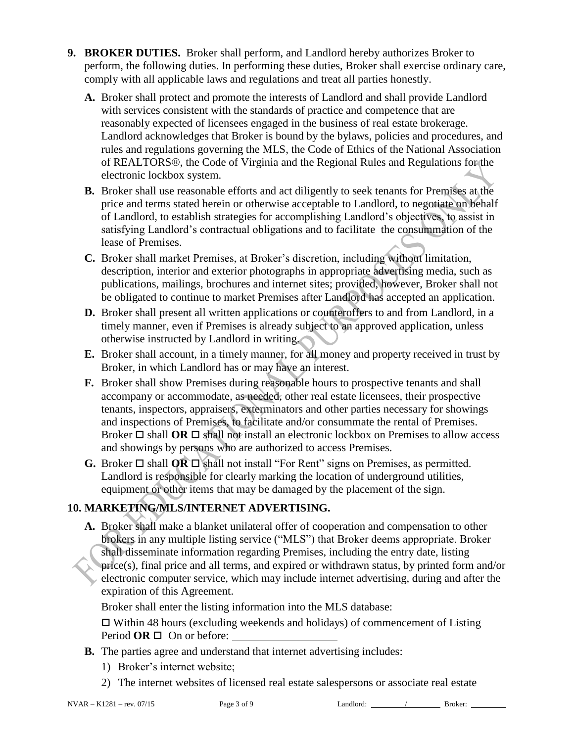- **9. BROKER DUTIES.** Broker shall perform, and Landlord hereby authorizes Broker to perform, the following duties. In performing these duties, Broker shall exercise ordinary care, comply with all applicable laws and regulations and treat all parties honestly.
	- **A.** Broker shall protect and promote the interests of Landlord and shall provide Landlord with services consistent with the standards of practice and competence that are reasonably expected of licensees engaged in the business of real estate brokerage. Landlord acknowledges that Broker is bound by the bylaws, policies and procedures, and rules and regulations governing the MLS, the Code of Ethics of the National Association of REALTORS®, the Code of Virginia and the Regional Rules and Regulations for the electronic lockbox system.
	- **B.** Broker shall use reasonable efforts and act diligently to seek tenants for Premises at the price and terms stated herein or otherwise acceptable to Landlord, to negotiate on behalf of Landlord, to establish strategies for accomplishing Landlord's objectives, to assist in satisfying Landlord's contractual obligations and to facilitate the consummation of the lease of Premises.
	- **C.** Broker shall market Premises, at Broker's discretion, including without limitation, description, interior and exterior photographs in appropriate advertising media, such as publications, mailings, brochures and internet sites; provided, however, Broker shall not be obligated to continue to market Premises after Landlord has accepted an application.
	- **D.** Broker shall present all written applications or counteroffers to and from Landlord, in a timely manner, even if Premises is already subject to an approved application, unless otherwise instructed by Landlord in writing.
	- **E.** Broker shall account, in a timely manner, for all money and property received in trust by Broker, in which Landlord has or may have an interest.
	- **F.** Broker shall show Premises during reasonable hours to prospective tenants and shall accompany or accommodate, as needed, other real estate licensees, their prospective tenants, inspectors, appraisers, exterminators and other parties necessary for showings and inspections of Premises, to facilitate and/or consummate the rental of Premises. Broker  $\Box$  shall **OR**  $\Box$  shall not install an electronic lockbox on Premises to allow access and showings by persons who are authorized to access Premises.
	- **G.** Broker  $\Box$  shall **OR**  $\Box$  shall not install "For Rent" signs on Premises, as permitted. Landlord is responsible for clearly marking the location of underground utilities, equipment or other items that may be damaged by the placement of the sign.

# **10. MARKETING/MLS/INTERNET ADVERTISING.**

**A.** Broker shall make a blanket unilateral offer of cooperation and compensation to other brokers in any multiple listing service ("MLS") that Broker deems appropriate. Broker shall disseminate information regarding Premises, including the entry date, listing price(s), final price and all terms, and expired or withdrawn status, by printed form and/or electronic computer service, which may include internet advertising, during and after the expiration of this Agreement.

Broker shall enter the listing information into the MLS database:

 $\Box$  Within 48 hours (excluding weekends and holidays) of commencement of Listing Period **OR** □ On or before:

- **B.** The parties agree and understand that internet advertising includes:
	- 1) Broker's internet website;
	- 2) The internet websites of licensed real estate salespersons or associate real estate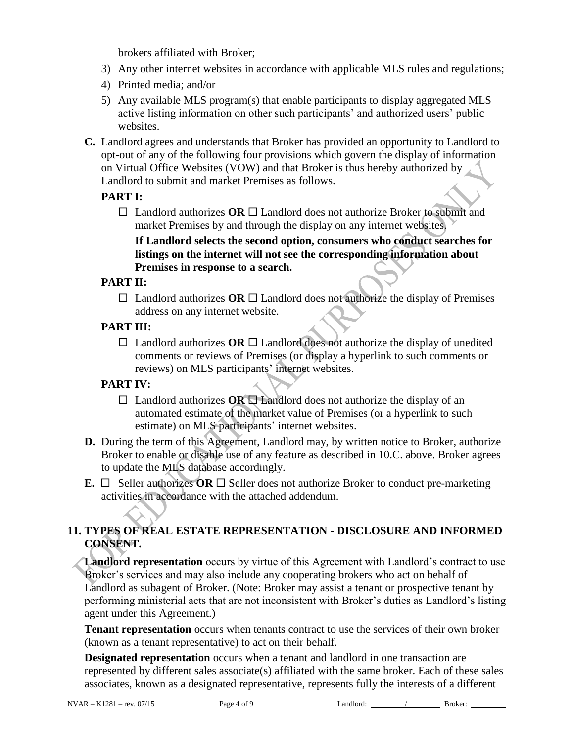brokers affiliated with Broker;

- 3) Any other internet websites in accordance with applicable MLS rules and regulations;
- 4) Printed media; and/or
- 5) Any available MLS program(s) that enable participants to display aggregated MLS active listing information on other such participants' and authorized users' public websites.
- **C.** Landlord agrees and understands that Broker has provided an opportunity to Landlord to opt-out of any of the following four provisions which govern the display of information on Virtual Office Websites (VOW) and that Broker is thus hereby authorized by Landlord to submit and market Premises as follows.

### **PART I:**

 $\Box$  Landlord authorizes **OR**  $\Box$  Landlord does not authorize Broker to submit and market Premises by and through the display on any internet websites.

### **If Landlord selects the second option, consumers who conduct searches for listings on the internet will not see the corresponding information about Premises in response to a search.**

### **PART II:**

- $\Box$  Landlord authorizes **OR**  $\Box$  Landlord does not authorize the display of Premises address on any internet website.
- **PART III:**
	- $\Box$  Landlord authorizes **OR**  $\Box$  Landlord does not authorize the display of unedited comments or reviews of Premises (or display a hyperlink to such comments or reviews) on MLS participants' internet websites.

### **PART IV:**

- $\Box$  Landlord authorizes **OR**  $\Box$  Landlord does not authorize the display of an automated estimate of the market value of Premises (or a hyperlink to such estimate) on MLS participants' internet websites.
- **D.** During the term of this Agreement, Landlord may, by written notice to Broker, authorize Broker to enable or disable use of any feature as described in 10.C. above. Broker agrees to update the MLS database accordingly.
- **E.**  $\Box$  Seller authorizes **OR**  $\Box$  Seller does not authorize Broker to conduct pre-marketing activities in accordance with the attached addendum.

## **11. TYPES OF REAL ESTATE REPRESENTATION - DISCLOSURE AND INFORMED CONSENT.**

Landlord representation occurs by virtue of this Agreement with Landlord's contract to use Broker's services and may also include any cooperating brokers who act on behalf of Landlord as subagent of Broker. (Note: Broker may assist a tenant or prospective tenant by performing ministerial acts that are not inconsistent with Broker's duties as Landlord's listing agent under this Agreement.)

**Tenant representation** occurs when tenants contract to use the services of their own broker (known as a tenant representative) to act on their behalf.

**Designated representation** occurs when a tenant and landlord in one transaction are represented by different sales associate(s) affiliated with the same broker. Each of these sales associates, known as a designated representative, represents fully the interests of a different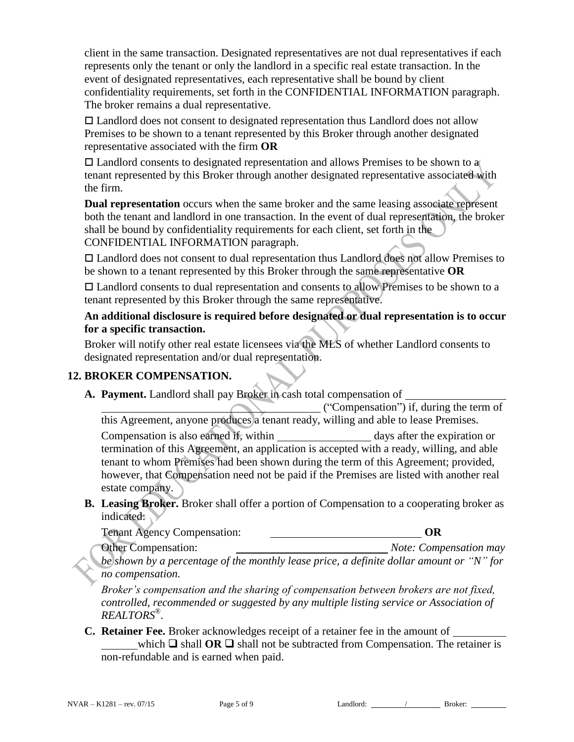client in the same transaction. Designated representatives are not dual representatives if each represents only the tenant or only the landlord in a specific real estate transaction. In the event of designated representatives, each representative shall be bound by client confidentiality requirements, set forth in the CONFIDENTIAL INFORMATION paragraph. The broker remains a dual representative.

 Landlord does not consent to designated representation thus Landlord does not allow Premises to be shown to a tenant represented by this Broker through another designated representative associated with the firm **OR**

 $\Box$  Landlord consents to designated representation and allows Premises to be shown to a tenant represented by this Broker through another designated representative associated with the firm.

**Dual representation** occurs when the same broker and the same leasing associate represent both the tenant and landlord in one transaction. In the event of dual representation, the broker shall be bound by confidentiality requirements for each client, set forth in the CONFIDENTIAL INFORMATION paragraph.

 Landlord does not consent to dual representation thus Landlord does not allow Premises to be shown to a tenant represented by this Broker through the same representative **OR**

 Landlord consents to dual representation and consents to allow Premises to be shown to a tenant represented by this Broker through the same representative.

**An additional disclosure is required before designated or dual representation is to occur for a specific transaction.**

Broker will notify other real estate licensees via the MLS of whether Landlord consents to designated representation and/or dual representation.

### **12. BROKER COMPENSATION.**

**A. Payment.** Landlord shall pay Broker in cash total compensation of

("Compensation") if, during the term of this Agreement, anyone produces a tenant ready, willing and able to lease Premises. Compensation is also earned if, within days after the expiration or termination of this Agreement, an application is accepted with a ready, willing, and able tenant to whom Premises had been shown during the term of this Agreement; provided, however, that Compensation need not be paid if the Premises are listed with another real estate company.

**B. Leasing Broker.** Broker shall offer a portion of Compensation to a cooperating broker as indicated:

| <b>Tenant Agency Compensation:</b> |  |
|------------------------------------|--|
|                                    |  |

Other Compensation: *Note: Compensation may* 

*be shown by a percentage of the monthly lease price, a definite dollar amount or "N" for no compensation.*

*Broker's compensation and the sharing of compensation between brokers are not fixed, controlled, recommended or suggested by any multiple listing service or Association of REALTORS® .*

**C. Retainer Fee.** Broker acknowledges receipt of a retainer fee in the amount of which  $\Box$  shall **OR**  $\Box$  shall not be subtracted from Compensation. The retainer is non-refundable and is earned when paid.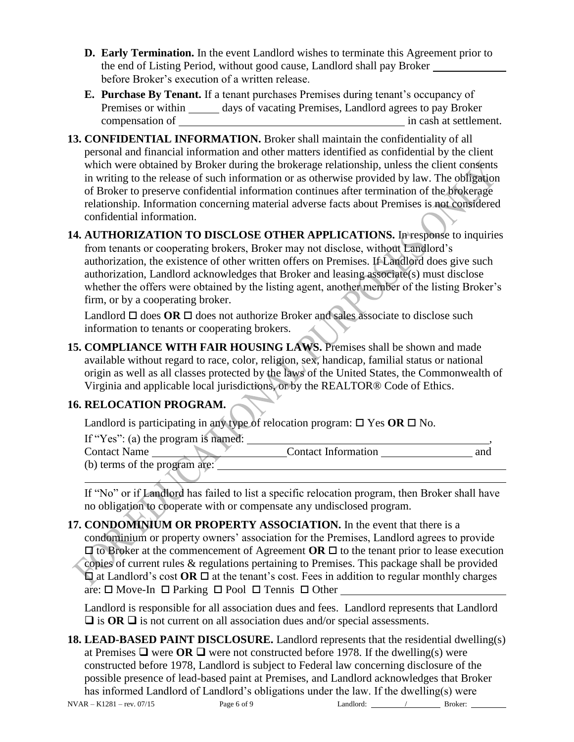- **D. Early Termination.** In the event Landlord wishes to terminate this Agreement prior to the end of Listing Period, without good cause, Landlord shall pay Broker before Broker's execution of a written release.
- **E. Purchase By Tenant.** If a tenant purchases Premises during tenant's occupancy of Premises or within \_\_\_\_\_\_ days of vacating Premises, Landlord agrees to pay Broker compensation of in cash at settlement.
- **13. CONFIDENTIAL INFORMATION.** Broker shall maintain the confidentiality of all personal and financial information and other matters identified as confidential by the client which were obtained by Broker during the brokerage relationship, unless the client consents in writing to the release of such information or as otherwise provided by law. The obligation of Broker to preserve confidential information continues after termination of the brokerage relationship. Information concerning material adverse facts about Premises is not considered confidential information.
- **14. AUTHORIZATION TO DISCLOSE OTHER APPLICATIONS.** In response to inquiries from tenants or cooperating brokers, Broker may not disclose, without Landlord's authorization, the existence of other written offers on Premises. If Landlord does give such authorization, Landlord acknowledges that Broker and leasing associate(s) must disclose whether the offers were obtained by the listing agent, another member of the listing Broker's firm, or by a cooperating broker.

Landlord  $\Box$  does **OR**  $\Box$  does not authorize Broker and sales associate to disclose such information to tenants or cooperating brokers.

**15. COMPLIANCE WITH FAIR HOUSING LAWS.** Premises shall be shown and made available without regard to race, color, religion, sex, handicap, familial status or national origin as well as all classes protected by the laws of the United States, the Commonwealth of Virginia and applicable local jurisdictions, or by the REALTOR® Code of Ethics.

## **16. RELOCATION PROGRAM.**

Landlord is participating in any type of relocation program:  $\Box$  Yes  $OR \Box$  No.

If "Yes":  $(a)$  the program is named:

| <b>Contact Name</b>           | <b>Contact Information</b> | and |
|-------------------------------|----------------------------|-----|
| (b) terms of the program are: |                            |     |
|                               |                            |     |

If "No" or if Landlord has failed to list a specific relocation program, then Broker shall have no obligation to cooperate with or compensate any undisclosed program.

**17. CONDOMINIUM OR PROPERTY ASSOCIATION.** In the event that there is a condominium or property owners' association for the Premises, Landlord agrees to provide  $\Box$  to Broker at the commencement of Agreement **OR**  $\Box$  to the tenant prior to lease execution copies of current rules & regulations pertaining to Premises. This package shall be provided  $\Box$  at Landlord's cost **OR**  $\Box$  at the tenant's cost. Fees in addition to regular monthly charges are:  $\square$  Move-In  $\square$  Parking  $\square$  Pool  $\square$  Tennis  $\square$  Other

Landlord is responsible for all association dues and fees. Landlord represents that Landlord  $\Box$  is **OR**  $\Box$  is not current on all association dues and/or special assessments.

 $NVAR - K1281 - rev. 07/15$  Page 6 of 9 Landlord:  $\frac{\ }{\ }$  Broker: **18. LEAD-BASED PAINT DISCLOSURE.** Landlord represents that the residential dwelling(s) at Premises  $\Box$  were OR  $\Box$  were not constructed before 1978. If the dwelling(s) were constructed before 1978, Landlord is subject to Federal law concerning disclosure of the possible presence of lead-based paint at Premises, and Landlord acknowledges that Broker has informed Landlord of Landlord's obligations under the law. If the dwelling(s) were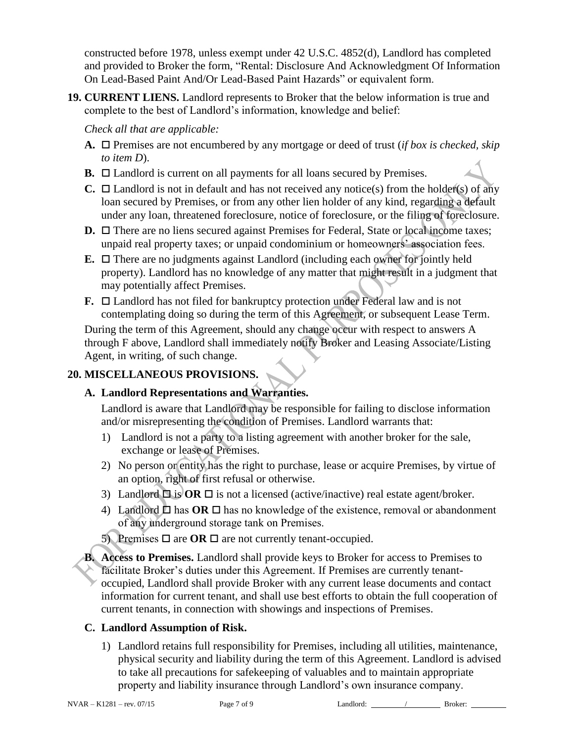constructed before 1978, unless exempt under 42 U.S.C. 4852(d), Landlord has completed and provided to Broker the form, "Rental: Disclosure And Acknowledgment Of Information On Lead-Based Paint And/Or Lead-Based Paint Hazards" or equivalent form.

**19. CURRENT LIENS.** Landlord represents to Broker that the below information is true and complete to the best of Landlord's information, knowledge and belief:

*Check all that are applicable:*

- **A.**  $\Box$  Premises are not encumbered by any mortgage or deed of trust (*if box is checked, skip to item D*).
- **B.**  $\Box$  Landlord is current on all payments for all loans secured by Premises.
- **C.**  $\Box$  Landlord is not in default and has not received any notice(s) from the holder(s) of any loan secured by Premises, or from any other lien holder of any kind, regarding a default under any loan, threatened foreclosure, notice of foreclosure, or the filing of foreclosure.
- **D.** □ There are no liens secured against Premises for Federal, State or local income taxes; unpaid real property taxes; or unpaid condominium or homeowners' association fees.
- **E.**  $\Box$  There are no judgments against Landlord (including each owner for jointly held property). Landlord has no knowledge of any matter that might result in a judgment that may potentially affect Premises.
- **F.**  $\Box$  Landlord has not filed for bankruptcy protection under Federal law and is not contemplating doing so during the term of this Agreement, or subsequent Lease Term.

During the term of this Agreement, should any change occur with respect to answers A through F above, Landlord shall immediately notify Broker and Leasing Associate/Listing Agent, in writing, of such change.

#### **20. MISCELLANEOUS PROVISIONS.**

### **A. Landlord Representations and Warranties.**

Landlord is aware that Landlord may be responsible for failing to disclose information and/or misrepresenting the condition of Premises. Landlord warrants that:

- 1) Landlord is not a party to a listing agreement with another broker for the sale, exchange or lease of Premises.
- 2) No person or entity has the right to purchase, lease or acquire Premises, by virtue of an option, right of first refusal or otherwise.
- 3) Landlord  $\Box$  is **OR**  $\Box$  is not a licensed (active/inactive) real estate agent/broker.
- 4) Landlord  $\Box$  has **OR**  $\Box$  has no knowledge of the existence, removal or abandonment of any underground storage tank on Premises.
- 5) Premises  $\Box$  are **OR**  $\Box$  are not currently tenant-occupied.
- **B. Access to Premises.** Landlord shall provide keys to Broker for access to Premises to facilitate Broker's duties under this Agreement. If Premises are currently tenantoccupied, Landlord shall provide Broker with any current lease documents and contact information for current tenant, and shall use best efforts to obtain the full cooperation of current tenants, in connection with showings and inspections of Premises.

### **C. Landlord Assumption of Risk.**

1) Landlord retains full responsibility for Premises, including all utilities, maintenance, physical security and liability during the term of this Agreement. Landlord is advised to take all precautions for safekeeping of valuables and to maintain appropriate property and liability insurance through Landlord's own insurance company.

NVAR – K1281 – rev. 07/15 Page 7 of 9 Landlord: / Broker: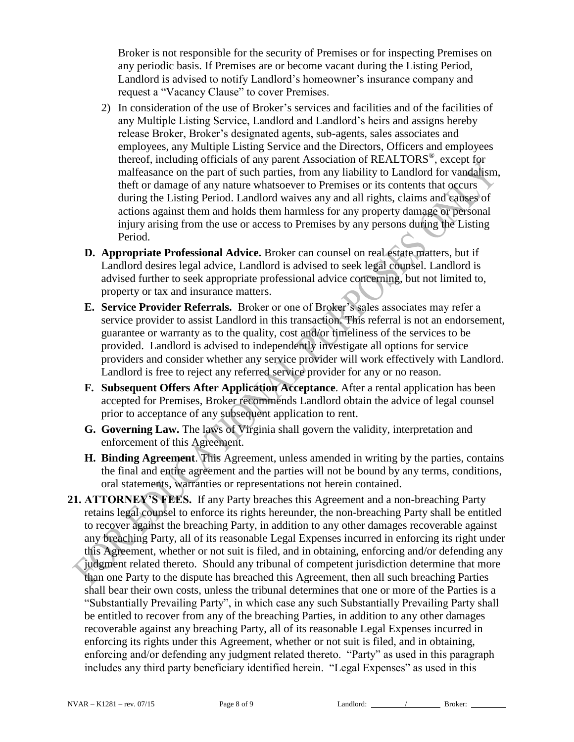Broker is not responsible for the security of Premises or for inspecting Premises on any periodic basis. If Premises are or become vacant during the Listing Period, Landlord is advised to notify Landlord's homeowner's insurance company and request a "Vacancy Clause" to cover Premises.

- 2) In consideration of the use of Broker's services and facilities and of the facilities of any Multiple Listing Service, Landlord and Landlord's heirs and assigns hereby release Broker, Broker's designated agents, sub-agents, sales associates and employees, any Multiple Listing Service and the Directors, Officers and employees thereof, including officials of any parent Association of REALTORS®, except for malfeasance on the part of such parties, from any liability to Landlord for vandalism, theft or damage of any nature whatsoever to Premises or its contents that occurs during the Listing Period. Landlord waives any and all rights, claims and causes of actions against them and holds them harmless for any property damage or personal injury arising from the use or access to Premises by any persons during the Listing Period.
- **D. Appropriate Professional Advice.** Broker can counsel on real estate matters, but if Landlord desires legal advice, Landlord is advised to seek legal counsel. Landlord is advised further to seek appropriate professional advice concerning, but not limited to, property or tax and insurance matters.
- **E. Service Provider Referrals.** Broker or one of Broker's sales associates may refer a service provider to assist Landlord in this transaction. This referral is not an endorsement, guarantee or warranty as to the quality, cost and/or timeliness of the services to be provided. Landlord is advised to independently investigate all options for service providers and consider whether any service provider will work effectively with Landlord. Landlord is free to reject any referred service provider for any or no reason.
- **F. Subsequent Offers After Application Acceptance**. After a rental application has been accepted for Premises, Broker recommends Landlord obtain the advice of legal counsel prior to acceptance of any subsequent application to rent.
- **G. Governing Law.** The laws of Virginia shall govern the validity, interpretation and enforcement of this Agreement.
- **H. Binding Agreement**. This Agreement, unless amended in writing by the parties, contains the final and entire agreement and the parties will not be bound by any terms, conditions, oral statements, warranties or representations not herein contained.
- **21. ATTORNEY'S FEES.** If any Party breaches this Agreement and a non-breaching Party retains legal counsel to enforce its rights hereunder, the non-breaching Party shall be entitled to recover against the breaching Party, in addition to any other damages recoverable against any breaching Party, all of its reasonable Legal Expenses incurred in enforcing its right under this Agreement, whether or not suit is filed, and in obtaining, enforcing and/or defending any judgment related thereto. Should any tribunal of competent jurisdiction determine that more than one Party to the dispute has breached this Agreement, then all such breaching Parties shall bear their own costs, unless the tribunal determines that one or more of the Parties is a "Substantially Prevailing Party", in which case any such Substantially Prevailing Party shall be entitled to recover from any of the breaching Parties, in addition to any other damages recoverable against any breaching Party, all of its reasonable Legal Expenses incurred in enforcing its rights under this Agreement, whether or not suit is filed, and in obtaining, enforcing and/or defending any judgment related thereto. "Party" as used in this paragraph includes any third party beneficiary identified herein. "Legal Expenses" as used in this